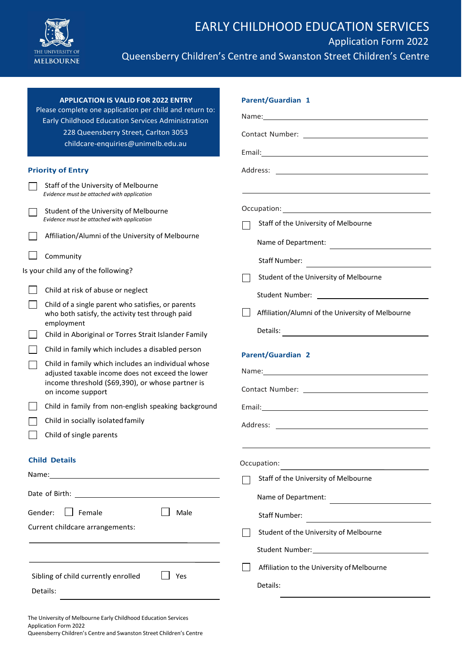

| <b>APPLICATION IS VALID FOR 2022 ENTRY</b><br>Please complete one application per child and return to: | <b>Parent/Guardian 1</b>                                                                                                                                                                                                             |  |  |  |
|--------------------------------------------------------------------------------------------------------|--------------------------------------------------------------------------------------------------------------------------------------------------------------------------------------------------------------------------------------|--|--|--|
| Early Childhood Education Services Administration                                                      |                                                                                                                                                                                                                                      |  |  |  |
| 228 Queensberry Street, Carlton 3053                                                                   | Email: <u>Andreas and American and American and American and American and American and American and American and American and American and American and American and American and American and American and American and America</u> |  |  |  |
| childcare-enquiries@unimelb.edu.au                                                                     |                                                                                                                                                                                                                                      |  |  |  |
| <b>Priority of Entry</b>                                                                               |                                                                                                                                                                                                                                      |  |  |  |
| Staff of the University of Melbourne<br>Evidence must be attached with application                     |                                                                                                                                                                                                                                      |  |  |  |
| Student of the University of Melbourne                                                                 |                                                                                                                                                                                                                                      |  |  |  |
| Evidence must be attached with application                                                             | Staff of the University of Melbourne                                                                                                                                                                                                 |  |  |  |
| Affiliation/Alumni of the University of Melbourne                                                      | Name of Department:                                                                                                                                                                                                                  |  |  |  |
| Community                                                                                              | Staff Number:<br><u> 1989 - Andrea State Barbara, poeta esp</u>                                                                                                                                                                      |  |  |  |
| Is your child any of the following?                                                                    | Student of the University of Melbourne                                                                                                                                                                                               |  |  |  |
| Child at risk of abuse or neglect                                                                      |                                                                                                                                                                                                                                      |  |  |  |
| Child of a single parent who satisfies, or parents<br>who both satisfy, the activity test through paid | Affiliation/Alumni of the University of Melbourne                                                                                                                                                                                    |  |  |  |
| employment<br>Child in Aboriginal or Torres Strait Islander Family                                     |                                                                                                                                                                                                                                      |  |  |  |
| Child in family which includes a disabled person                                                       |                                                                                                                                                                                                                                      |  |  |  |
| Child in family which includes an individual whose                                                     | <b>Parent/Guardian 2</b>                                                                                                                                                                                                             |  |  |  |
| adjusted taxable income does not exceed the lower<br>income threshold (\$69,390), or whose partner is  |                                                                                                                                                                                                                                      |  |  |  |
| on income support                                                                                      | Contact Number: 2008                                                                                                                                                                                                                 |  |  |  |
| Child in family from non-english speaking background                                                   |                                                                                                                                                                                                                                      |  |  |  |
| Child in socially isolated family                                                                      |                                                                                                                                                                                                                                      |  |  |  |
| Child of single parents                                                                                |                                                                                                                                                                                                                                      |  |  |  |
| <b>Child Details</b>                                                                                   | Occupation:                                                                                                                                                                                                                          |  |  |  |
|                                                                                                        | Staff of the University of Melbourne                                                                                                                                                                                                 |  |  |  |
|                                                                                                        | Name of Department:                                                                                                                                                                                                                  |  |  |  |
| $\Box$ Female<br>Gender:                                                                               |                                                                                                                                                                                                                                      |  |  |  |
| Male<br>Current childcare arrangements:                                                                | Staff Number:<br><u> 1989 - Andrea Station Barbara, amerikan per</u>                                                                                                                                                                 |  |  |  |
|                                                                                                        | Student of the University of Melbourne                                                                                                                                                                                               |  |  |  |
|                                                                                                        |                                                                                                                                                                                                                                      |  |  |  |
|                                                                                                        | Affiliation to the University of Melbourne                                                                                                                                                                                           |  |  |  |
| Sibling of child currently enrolled<br>Yes                                                             | Details:                                                                                                                                                                                                                             |  |  |  |
| Details:                                                                                               |                                                                                                                                                                                                                                      |  |  |  |

The University of Melbourne Early Childhood Education Services Application Form 2022 Queensberry Children's Centre and Swanston Street Children's Centre